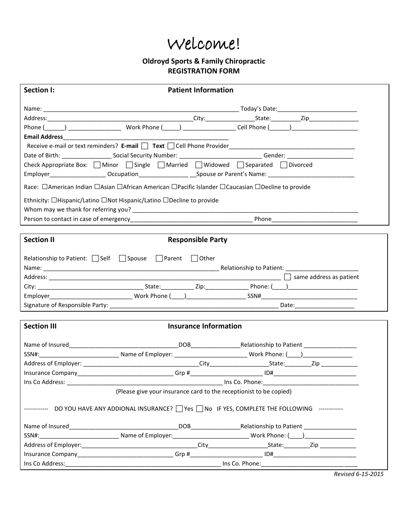# Welcome!

## **Oldroyd Sports & Family Chiropractic REGISTRATION FORM**

| Section I:         | <b>Patient Information</b>                                                                                                                                                                           |  |  |
|--------------------|------------------------------------------------------------------------------------------------------------------------------------------------------------------------------------------------------|--|--|
|                    |                                                                                                                                                                                                      |  |  |
|                    |                                                                                                                                                                                                      |  |  |
|                    |                                                                                                                                                                                                      |  |  |
|                    |                                                                                                                                                                                                      |  |  |
|                    | Receive e-mail or text reminders? E-mail Text Cell Phone Provider __________________________________                                                                                                 |  |  |
|                    |                                                                                                                                                                                                      |  |  |
|                    | Check Appropriate Box: □ Minor □ Single □ Married □ Widowed □ Separated □ Divorced<br>Employer_____________________Occupation_______________________Spouse or Parent's Name: _______________________ |  |  |
|                    | Race: □American Indian □Asian □African American □Pacific Islander □Caucasian □Decline to provide                                                                                                     |  |  |
|                    | Ethnicity: □Hispanic/Latino □Not Hispanic/Latino □Decline to provide                                                                                                                                 |  |  |
|                    |                                                                                                                                                                                                      |  |  |
|                    |                                                                                                                                                                                                      |  |  |
| <b>Section II</b>  | <b>Responsible Party</b>                                                                                                                                                                             |  |  |
|                    | Relationship to Patient: $\Box$ Self $\Box$ Spouse $\Box$ Parent $\Box$ Other                                                                                                                        |  |  |
|                    |                                                                                                                                                                                                      |  |  |
|                    |                                                                                                                                                                                                      |  |  |
|                    |                                                                                                                                                                                                      |  |  |
|                    |                                                                                                                                                                                                      |  |  |
|                    |                                                                                                                                                                                                      |  |  |
| <b>Section III</b> | <b>Insurance Information</b>                                                                                                                                                                         |  |  |
|                    |                                                                                                                                                                                                      |  |  |
|                    |                                                                                                                                                                                                      |  |  |
|                    |                                                                                                                                                                                                      |  |  |
|                    |                                                                                                                                                                                                      |  |  |
| Ins Co Address:    | <b>Example 20</b> Ins Co. Phone:                                                                                                                                                                     |  |  |
|                    | (Please give your insurance card to the receptionist to be copied)                                                                                                                                   |  |  |
|                    | ------------ DO YOU HAVE ANY ADDIONAL INSURANCE?   TYes   No IF YES, COMPLETE THE FOLLOWING ------------                                                                                             |  |  |
|                    |                                                                                                                                                                                                      |  |  |
|                    |                                                                                                                                                                                                      |  |  |
|                    |                                                                                                                                                                                                      |  |  |
|                    |                                                                                                                                                                                                      |  |  |
|                    |                                                                                                                                                                                                      |  |  |

*Revised 6-15-2015*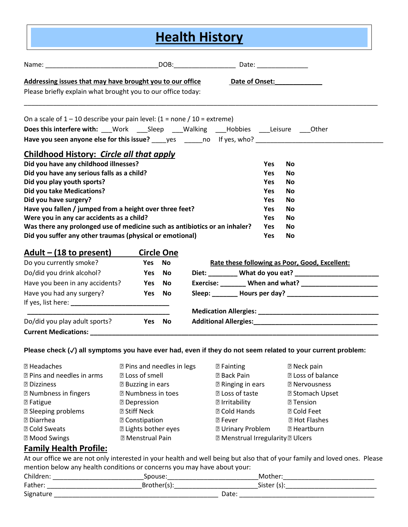| <b>Health History</b>                                                                                 |        |                   |  |            |                                                           |
|-------------------------------------------------------------------------------------------------------|--------|-------------------|--|------------|-----------------------------------------------------------|
|                                                                                                       |        |                   |  |            |                                                           |
| Addressing issues that may have brought you to our office                                             |        |                   |  |            | Date of Onset:                                            |
| Please briefly explain what brought you to our office today:                                          |        |                   |  |            |                                                           |
| On a scale of $1 - 10$ describe your pain level: $(1 = none / 10 = extreme)$                          |        |                   |  |            |                                                           |
| Does this interfere with: __Work ____Sleep ____Walking ____Hobbies ____Leisure ____Other              |        |                   |  |            |                                                           |
| Have you seen anyone else for this issue? _____ yes _______ no lf yes, who? ________________________  |        |                   |  |            |                                                           |
| Childhood History: Circle all that apply                                                              |        |                   |  |            |                                                           |
| Did you have any childhood illnesses?                                                                 |        |                   |  | <b>Yes</b> | <b>No</b>                                                 |
| Did you have any serious falls as a child?                                                            |        |                   |  | <b>Yes</b> | <b>No</b>                                                 |
| Did you play youth sports?                                                                            |        |                   |  | <b>Yes</b> | <b>No</b>                                                 |
| <b>Did you take Medications?</b><br><b>Yes</b><br><b>No</b>                                           |        |                   |  |            |                                                           |
| Did you have surgery?<br><b>Yes</b><br><b>No</b>                                                      |        |                   |  |            |                                                           |
| Have you fallen / jumped from a height over three feet?<br>Yes<br><b>No</b>                           |        |                   |  |            |                                                           |
| Were you in any car accidents as a child?<br><b>Yes</b><br><b>No</b>                                  |        |                   |  |            |                                                           |
| Was there any prolonged use of medicine such as antibiotics or an inhaler?<br><b>Yes</b><br><b>No</b> |        |                   |  |            |                                                           |
| Did you suffer any other traumas (physical or emotional)                                              |        |                   |  | Yes        | No                                                        |
| <u> Adult – (18 to present)</u>                                                                       |        | <b>Circle One</b> |  |            |                                                           |
| Do you currently smoke?                                                                               | Yes    | <b>No</b>         |  |            | Rate these following as Poor, Good, Excellent:            |
| Do/did you drink alcohol?                                                                             | Yes No |                   |  |            |                                                           |
| Have you been in any accidents?                                                                       | Yes No |                   |  |            | Exercise: _______ When and what? ________________________ |
| Have you had any surgery?                                                                             | Yes    | <b>No</b>         |  |            |                                                           |
| If you list harge.                                                                                    |        |                   |  |            |                                                           |

If yes, list here: **\_\_\_\_\_\_\_\_\_\_\_\_\_\_\_\_\_\_\_\_\_\_\_\_\_\_\_ \_\_\_\_\_\_\_\_\_\_\_\_\_\_\_\_\_\_\_\_\_\_\_\_\_\_\_\_\_\_\_\_\_\_\_\_\_\_\_ Medication Allergies: \_\_\_\_\_\_\_\_\_\_\_\_\_\_\_\_\_\_\_\_\_\_\_\_\_\_\_\_\_\_\_\_\_** Do/did you play adult sports? **Yes No Additional Allergies:\_\_\_\_\_\_\_\_\_\_\_\_\_\_\_\_\_\_\_\_\_\_\_\_\_\_\_\_\_\_\_\_\_\_ Current Medications: \_\_\_\_\_\_\_\_\_\_\_\_\_\_\_\_\_\_\_\_\_\_\_\_\_\_\_\_\_\_\_\_\_\_\_\_\_\_\_\_\_\_\_\_\_\_\_\_\_\_\_\_\_\_\_\_\_\_\_\_\_\_\_\_\_\_\_\_\_\_\_\_\_\_\_\_\_\_\_**

### **Please check (**✓**) all symptoms you have ever had, even if they do not seem related to your current problem:**

| <b>2 Headaches</b>                                                                                       | <b>D</b> Pins and needles in legs                      | <b>2 Fainting</b>                                                                         | <b>2 Neck pain</b>       |
|----------------------------------------------------------------------------------------------------------|--------------------------------------------------------|-------------------------------------------------------------------------------------------|--------------------------|
| <b>Z</b> Pins and needles in arms                                                                        | <b>2 Loss of smell</b>                                 | <b>2 Back Pain</b>                                                                        | <b>2</b> Loss of balance |
| <b>2 Dizziness</b>                                                                                       | <b>2 Buzzing in ears</b>                               | <b>Z</b> Ringing in ears                                                                  | <b>2 Nervousness</b>     |
| <b>Z</b> Numbness in fingers                                                                             | <b>2 Numbness in toes</b>                              | <b>7 Loss of taste</b>                                                                    | <b>2 Stomach Upset</b>   |
| <b>2 Fatigue</b>                                                                                         | <b>2 Depression</b>                                    | <b>7</b> Irritability                                                                     | <b>2 Tension</b>         |
| <b>Z</b> Sleeping problems                                                                               | <b>2 Stiff Neck</b>                                    | <b>2 Cold Hands</b>                                                                       | <b>2 Cold Feet</b>       |
| <b>7</b> Diarrhea                                                                                        | <b>2 Constipation</b>                                  | <b>图 Fever</b>                                                                            | <b>2 Hot Flashes</b>     |
| <b>2 Cold Sweats</b><br><b>7 Mood Swings</b><br>$F_{\text{max}}(t, t)$ is a life $D_{\text{max}}(t)$ and | <b>2 Lights bother eyes</b><br><b>2 Menstrual Pain</b> | <b>7 Urinary Problem</b><br><b><b><b>D</b></b> Menstrual Irregularity <b>D</b> Ulcers</b> | <b>图 Heartburn</b>       |

## **Family Health Profile:**

At our office we are not only interested in your health and well being but also that of your family and loved ones. Please mention below any health conditions or concerns you may have about your:<br>Children

| Children: | Spouse   |        |  |
|-----------|----------|--------|--|
| Father:   | Brother' | Sister |  |
| Signature |          | Date   |  |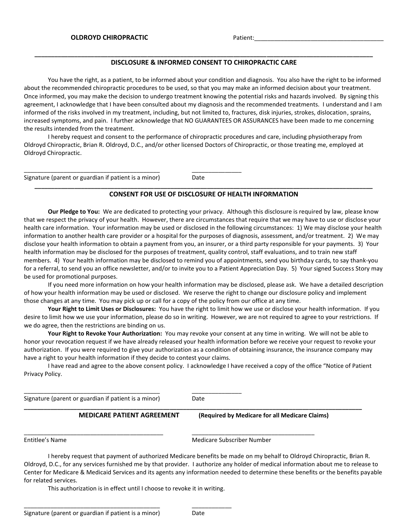#### **\_\_\_\_\_\_\_\_\_\_\_\_\_\_\_\_\_\_\_\_\_\_\_\_\_\_\_\_\_\_\_\_\_\_\_\_\_\_\_\_\_\_\_\_\_\_\_\_\_\_\_\_\_\_\_\_\_\_\_\_\_\_\_\_\_\_\_\_\_\_\_\_\_\_\_\_\_\_\_\_\_\_\_\_\_\_\_\_\_\_\_\_\_\_\_\_\_\_\_\_\_\_ DISCLOSURE & INFORMED CONSENT TO CHIROPRACTIC CARE**

You have the right, as a patient, to be informed about your condition and diagnosis. You also have the right to be informed about the recommended chiropractic procedures to be used, so that you may make an informed decision about your treatment. Once informed, you may make the decision to undergo treatment knowing the potential risks and hazards involved. By signing this agreement, I acknowledge that I have been consulted about my diagnosis and the recommended treatments. I understand and I am informed of the risks involved in my treatment, including, but not limited to, fractures, disk injuries, strokes, dislocation, sprains, increased symptoms, and pain. I further acknowledge that NO GUARANTEES OR ASSURANCES have been made to me concerning the results intended from the treatment.

I hereby request and consent to the performance of chiropractic procedures and care, including physiotherapy from Oldroyd Chiropractic, Brian R. Oldroyd, D.C., and/or other licensed Doctors of Chiropractic, or those treating me, employed at Oldroyd Chiropractic.

Signature (parent or guardian if patient is a minor) Date

\_\_\_\_\_\_\_\_\_\_\_\_\_\_\_\_\_\_\_\_\_\_\_\_\_\_\_\_\_\_\_\_\_\_\_\_\_\_\_\_\_ \_\_\_\_\_\_\_\_\_\_\_\_\_\_\_

#### **\_\_\_\_\_\_\_\_\_\_\_\_\_\_\_\_\_\_\_\_\_\_\_\_\_\_\_\_\_\_\_\_\_\_\_\_\_\_\_\_\_\_\_\_\_\_\_\_\_\_\_\_\_\_\_\_\_\_\_\_\_\_\_\_\_\_\_\_\_\_\_\_\_\_\_\_\_\_\_\_\_\_\_\_\_\_\_\_\_\_\_\_\_\_\_\_\_\_\_\_\_\_ CONSENT FOR USE OF DISCLOSURE OF HEALTH INFORMATION**

**Our Pledge to You:** We are dedicated to protecting your privacy. Although this disclosure is required by law, please know that we respect the privacy of your health. However, there are circumstances that require that we may have to use or disclose your health care information. Your information may be used or disclosed in the following circumstances: 1) We may disclose your health information to another health care provider or a hospital for the purposes of diagnosis, assessment, and/or treatment. 2) We may disclose your health information to obtain a payment from you, an insurer, or a third party responsible for your payments. 3) Your health information may be disclosed for the purposes of treatment, quality control, staff evaluations, and to train new staff members. 4) Your health information may be disclosed to remind you of appointments, send you birthday cards, to say thank-you for a referral, to send you an office newsletter, and/or to invite you to a Patient Appreciation Day. 5) Your signed Success Story may be used for promotional purposes.

If you need more information on how your health information may be disclosed, please ask. We have a detailed description of how your health information may be used or disclosed. We reserve the right to change our disclosure policy and implement those changes at any time. You may pick up or call for a copy of the policy from our office at any time.

**Your Right to Limit Uses or Disclosures:** You have the right to limit how we use or disclose your health information. If you desire to limit how we use your information, please do so in writing. However, we are not required to agree to your restrictions. If we do agree, then the restrictions are binding on us.

**Your Right to Revoke Your Authorization:** You may revoke your consent at any time in writing. We will not be able to honor your revocation request if we have already released your health information before we receive your request to revoke your authorization. If you were required to give your authorization as a condition of obtaining insurance, the insurance company may have a right to your health information if they decide to contest your claims.

I have read and agree to the above consent policy. I acknowledge I have received a copy of the office "Notice of Patient Privacy Policy.

| Signature (parent or guardian if patient is a minor) |                                   | Date                                           |
|------------------------------------------------------|-----------------------------------|------------------------------------------------|
|                                                      | <b>MEDICARE PATIENT AGREEMENT</b> | (Required by Medicare for all Medicare Claims) |
|                                                      |                                   |                                                |
| Entitlee's Name                                      |                                   | Medicare Subscriber Number                     |

I hereby request that payment of authorized Medicare benefits be made on my behalf to Oldroyd Chiropractic, Brian R. Oldroyd, D.C., for any services furnished me by that provider. I authorize any holder of medical information about me to release to Center for Medicare & Medicaid Services and its agents any information needed to determine these benefits or the benefits payable for related services.

This authorization is in effect until I choose to revoke it in writing.

\_\_\_\_\_\_\_\_\_\_\_\_\_\_\_\_\_\_\_\_\_\_\_\_\_\_\_\_\_\_\_\_\_\_\_\_\_\_\_\_\_ \_\_\_\_\_\_\_\_\_\_\_\_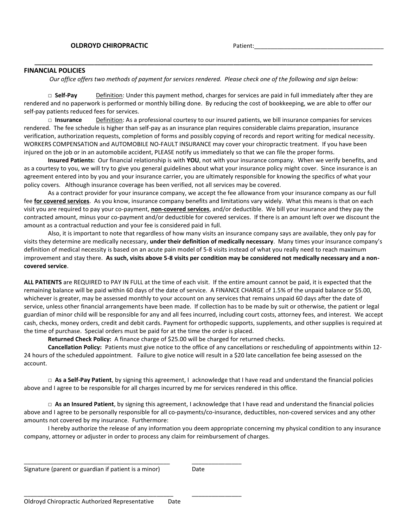#### **FINANCIAL POLICIES**

*Our office offers two methods of payment for services rendered. Please check one of the following and sign below:*

**\_\_\_\_\_\_\_\_\_\_\_\_\_\_\_\_\_\_\_\_\_\_\_\_\_\_\_\_\_\_\_\_\_\_\_\_\_\_\_\_\_\_\_\_\_\_\_\_\_\_\_\_\_\_\_\_\_\_\_\_\_\_\_\_\_\_\_\_\_\_\_\_\_\_\_\_\_\_\_\_\_\_\_\_\_\_\_\_\_\_\_\_\_\_\_\_\_\_\_\_\_\_**

**□ Self-Pay** Definition: Under this payment method, charges for services are paid in full immediately after they are rendered and no paperwork is performed or monthly billing done. By reducing the cost of bookkeeping, we are able to offer our self-pay patients reduced fees for services.

**□ Insurance** Definition: As a professional courtesy to our insured patients, we bill insurance companies for services rendered. The fee schedule is higher than self-pay as an insurance plan requires considerable claims preparation, insurance verification, authorization requests, completion of forms and possibly copying of records and report writing for medical necessity. WORKERS COMPENSATION and AUTOMOBILE NO-FAULT INSURANCE may cover your chiropractic treatment. If you have been injured on the job or in an automobile accident, PLEASE notify us immediately so that we can file the proper forms.

**Insured Patients:** Our financial relationship is with **YOU**, not with your insurance company. When we verify benefits, and as a courtesy to you, we will try to give you general guidelines about what your insurance policy might cover. Since insurance is an agreement entered into by you and your insurance carrier, you are ultimately responsible for knowing the specifics of what your policy covers. Although insurance coverage has been verified, not all services may be covered.

As a contract provider for your insurance company, we accept the fee allowance from your insurance company as our full fee **for covered services**. As you know, insurance company benefits and limitations vary widely. What this means is that on each visit you are required to pay your co-payment, **non-covered services**, and/or deductible. We bill your insurance and they pay the contracted amount, minus your co-payment and/or deductible for covered services. If there is an amount left over we discount the amount as a contractual reduction and your fee is considered paid in full.

Also, it is important to note that regardless of how many visits an insurance company says are available, they only pay for visits they determine are medically necessary, **under their definition of medically necessary**. Many times your insurance company's definition of medical necessity is based on an acute pain model of 5-8 visits instead of what you really need to reach maximum improvement and stay there. **As such, visits above 5-8 visits per condition may be considered not medically necessary and a noncovered service**.

**ALL PATIENTS** are REQUIRED to PAY IN FULL at the time of each visit. If the entire amount cannot be paid, it is expected that the remaining balance will be paid within 60 days of the date of service. A FINANCE CHARGE of 1.5% of the unpaid balance or \$5.00, whichever is greater, may be assessed monthly to your account on any services that remains unpaid 60 days after the date of service, unless other financial arrangements have been made. If collection has to be made by suit or otherwise, the patient or legal guardian of minor child will be responsible for any and all fees incurred, including court costs, attorney fees, and interest. We accept cash, checks, money orders, credit and debit cards. Payment for orthopedic supports, supplements, and other supplies is required at the time of purchase. Special orders must be paid for at the time the order is placed.

**Returned Check Policy:** A finance charge of \$25.00 will be charged for returned checks.

**Cancellation Policy:** Patients must give notice to the office of any cancellations or rescheduling of appointments within 12- 24 hours of the scheduled appointment. Failure to give notice will result in a \$20 late cancellation fee being assessed on the account.

**□ As a Self-Pay Patient**, by signing this agreement, I acknowledge that I have read and understand the financial policies above and I agree to be responsible for all charges incurred by me for services rendered in this office.

**□ As an Insured Patient**, by signing this agreement, I acknowledge that I have read and understand the financial policies above and I agree to be personally responsible for all co-payments/co-insurance, deductibles, non-covered services and any other amounts not covered by my insurance. Furthermore:

I hereby authorize the release of any information you deem appropriate concerning my physical condition to any insurance company, attorney or adjuster in order to process any claim for reimbursement of charges.

Signature (parent or guardian if patient is a minor) Date

\_\_\_\_\_\_\_\_\_\_\_\_\_\_\_\_\_\_\_\_\_\_\_\_\_\_\_\_\_\_\_\_\_\_\_\_\_\_\_\_\_\_\_\_ \_\_\_\_\_\_\_\_\_\_\_\_\_\_\_

\_\_\_\_\_\_\_\_\_\_\_\_\_\_\_\_\_\_\_\_\_\_\_\_\_\_\_\_\_\_\_\_\_\_\_\_\_\_\_\_\_\_\_\_\_ \_\_\_\_\_\_\_\_\_\_\_\_\_\_\_